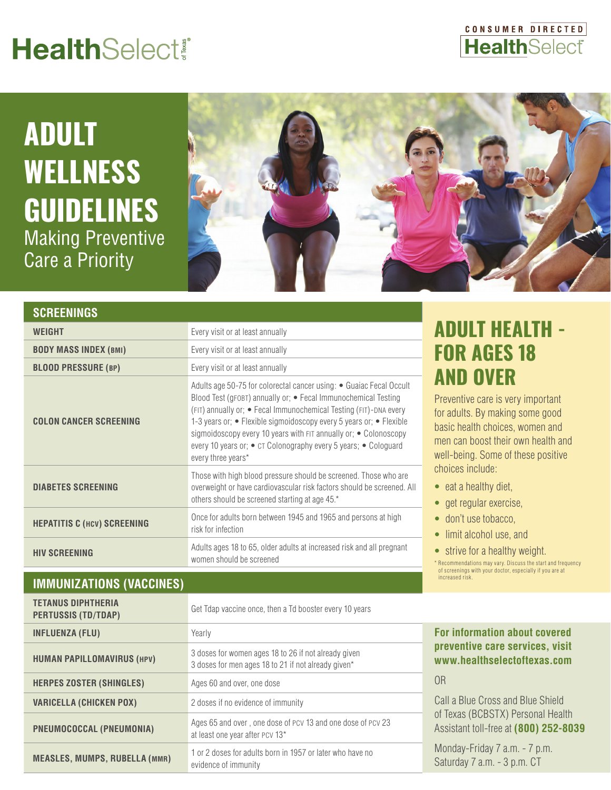# **HealthSelect®**

### CONSUMER DIRECTED **HealthSelect**

# **ADULT WELLNESS GUIDELINES** Making Preventive Care a Priority



| <b>SCREENINGS</b>                  |                                                                                                                                                                                                                                                                                                                                                                                                                                                |
|------------------------------------|------------------------------------------------------------------------------------------------------------------------------------------------------------------------------------------------------------------------------------------------------------------------------------------------------------------------------------------------------------------------------------------------------------------------------------------------|
| WEIGHT                             | Every visit or at least annually                                                                                                                                                                                                                                                                                                                                                                                                               |
| <b>BODY MASS INDEX (BMI)</b>       | Every visit or at least annually                                                                                                                                                                                                                                                                                                                                                                                                               |
| <b>BLOOD PRESSURE (BP)</b>         | Every visit or at least annually                                                                                                                                                                                                                                                                                                                                                                                                               |
| <b>COLON CANCER SCREENING</b>      | Adults age 50-75 for colorectal cancer using: • Guaiac Fecal Occult<br>Blood Test (gFOBT) annually or; • Fecal Immunochemical Testing<br>(FIT) annually or; • Fecal Immunochemical Testing (FIT)-DNA every<br>1-3 years or; • Flexible sigmoidoscopy every 5 years or; • Flexible<br>sigmoidoscopy every 10 years with FIT annually or; . Colonoscopy<br>every 10 years or; • CT Colonography every 5 years; • Cologuard<br>every three years* |
| <b>DIABETES SCREENING</b>          | Those with high blood pressure should be screened. Those who are<br>overweight or have cardiovascular risk factors should be screened. All<br>others should be screened starting at age 45.*                                                                                                                                                                                                                                                   |
| <b>HEPATITIS C (HCV) SCREENING</b> | Once for adults born between 1945 and 1965 and persons at high<br>risk for infection                                                                                                                                                                                                                                                                                                                                                           |
| <b>HIV SCREENING</b>               | Adults ages 18 to 65, older adults at increased risk and all pregnant<br>women should be screened                                                                                                                                                                                                                                                                                                                                              |

#### **IMMUNIZATIONS (VACCINES)**

**TETANUS DIPHTHERIA** 

| <b>PERTUSSIS (TD/TDAP)</b>           | Get Tdap vaccine once, then a Td booster every 10 years                                                     |                          |
|--------------------------------------|-------------------------------------------------------------------------------------------------------------|--------------------------|
| <b>INFLUENZA (FLU)</b>               | Yearly                                                                                                      | <b>For infor</b>         |
| <b>HUMAN PAPILLOMAVIRUS (HPV)</b>    | 3 doses for women ages 18 to 26 if not already given<br>3 doses for men ages 18 to 21 if not already given* | preventi<br>www.he       |
| <b>HERPES ZOSTER (SHINGLES)</b>      | Ages 60 and over, one dose                                                                                  | 0 <sub>R</sub>           |
| <b>VARICELLA (CHICKEN POX)</b>       | 2 doses if no evidence of immunity                                                                          | Call a Blue              |
| PNEUMOCOCCAL (PNEUMONIA)             | Ages 65 and over, one dose of PCV 13 and one dose of PCV 23<br>at least one year after PCV 13*              | of Texas (I<br>Assistant |
| <b>MEASLES, MUMPS, RUBELLA (MMR)</b> | 1 or 2 doses for adults born in 1957 or later who have no<br>evidence of immunity                           | Monday-F<br>Saturday     |

## **ADULT HEALTH - FOR AGES 18 AND OVER**

Preventive care is very important for adults. By making some good basic health choices, women and men can boost their own health and well-being. Some of these positive choices include:

- eat a healthy diet,
- get regular exercise,
- don't use tobacco,
- limit alcohol use, and
- strive for a healthy weight.

\* Recommendations may vary. Discuss the start and frequency of screenings with your doctor, especially if you are at increased risk.

**Formation about covered ve care services, visit www.healthselectoftexas.com** 

e Cross and Blue Shield **BCBSTX) Personal Health** Assistant toll-free at **(800) 252-8039**

 $Fridav 7 a.m. - 7 p.m.$ 7 a.m. - 3 p.m. CT